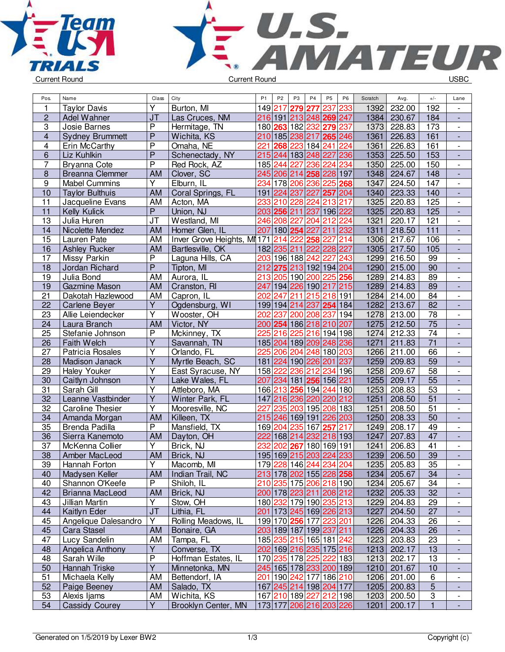



| 1<br>Υ<br>232.00<br>192<br>Burton, MI<br>149 217<br>279<br>237<br>233<br>1392<br><b>Taylor Davis</b><br>277<br>$\overline{\phantom{a}}$<br>$\overline{c}$<br>J <sub>T</sub><br>Las Cruces, NM<br>216 191<br>213 248 269 247<br>1384<br>184<br>Adel Wahner<br>230.67<br>$\overline{\phantom{a}}$<br>3<br>$\overline{P}$<br>182 232 279<br>237<br>1373<br>173<br>Josie Barnes<br>Hermitage, TN<br>180 263<br>228.83<br>$\overline{\phantom{a}}$<br>$\overline{P}$<br>161<br>$\overline{\mathbf{4}}$<br>210 185 238 217 265 246<br>1361<br><b>Sydney Brummett</b><br>Wichita, KS<br>226.83<br>÷,<br>$\mathsf{P}$<br>221<br>223<br>184 241<br>161<br>4<br>224<br>1361<br>226.83<br>Erin McCarthy<br>Omaha, NE<br>268<br>$\blacksquare$<br>$\overline{P}$<br>215 244 183 248 227<br>6<br>Schenectady, NY<br>236<br>1353<br>225.50<br>153<br>Liz Kuhlkin<br>$\blacksquare$<br>$\overline{P}$<br>Red Rock, AZ<br>185 244<br>227<br>236 224<br>234<br>1350<br>150<br>7<br>225.00<br>Bryanna Cote<br>$\overline{\phantom{a}}$<br>245<br>206 214 258 228 197<br>$\boldsymbol{8}$<br><b>Breanna Clemmer</b><br><b>AM</b><br>Clover, SC<br>1348<br>224.67<br>148<br>9<br>178 206 236<br>1347<br>147<br><b>Mabel Cummins</b><br>Y<br>Elburn, IL<br>234<br>225<br>224.50<br>268<br>10<br>224 237<br>227<br>1340<br>223.33<br>140<br><b>Taylor Bulthuis</b><br><b>AM</b><br>Coral Springs, FL<br>191<br>257 204<br>$\blacksquare$<br>$\overline{11}$<br>Jacqueline Evans<br>AM<br>1325<br>125<br>Acton, MA<br>233<br>210<br>228<br>224<br>213<br>217<br>220.83<br>$\overline{\phantom{a}}$<br>$\overline{11}$<br>$\overline{P}$<br>Union, NJ<br>203 256 211<br>237<br>196 222<br>1325<br>125<br>Kelly Kulick<br>220.83<br>$\overline{\phantom{a}}$<br>208 227<br>212<br>224<br>13<br><b>JT</b><br>246<br>204<br>1321<br>220.17<br>121<br>Julia Huren<br>Westland, MI<br>$\overline{\phantom{a}}$<br>211 232<br>111<br>14<br>Nicolette Mendez<br><b>AM</b><br>Homer Glen, IL<br>207 180 254 227<br>1311<br>218.50<br>÷,<br>Inver Grove Heights, MI 171<br>222<br>258<br>15<br>AM<br>227<br>214<br>1306<br>217.67<br>106<br>Lauren Pate<br>214<br>$\overline{\phantom{a}}$<br><b>AM</b><br>182 235 211<br>222 228 227<br>1305<br>217.50<br>105<br>16<br><b>Ashley Rucker</b><br>Bartlesville, OK<br>$\blacksquare$<br>17<br>Missy Parkin<br>P<br>203<br>196 188 242 227<br>243<br>1299<br>Laguna Hills, CA<br>216.50<br>99<br>$\overline{\phantom{a}}$<br>${\sf P}$<br>18<br>Jordan Richard<br>Tipton, MI<br>212<br>275<br>213 192 194 204<br>1290<br>215.00<br>90<br>$\overline{\phantom{a}}$<br>19<br>213<br>205 190 200 225 256<br>1289<br>89<br>Julia Bond<br><b>AM</b><br>Aurora, IL<br>214.83<br>$\overline{\phantom{a}}$<br>247 194 226 190 217 215<br>89<br>19<br>1289<br>Gazmine Mason<br><b>AM</b><br>Cranston, RI<br>214.83<br>21<br>84<br>AM<br>211<br>215 218 191<br>Dakotah Hazlewood<br>Capron, IL<br>202<br>247<br>1284<br>214.00<br>$\overline{\phantom{a}}$<br>$\overline{82}$<br>22<br>Y<br>Ogdensburg, WI<br>199 194 214 237 254 184<br>1282<br><b>Carlene Beyer</b><br>213.67<br>$\overline{\phantom{a}}$<br>$\overline{78}$<br>Υ<br>237<br>200 208 237<br>194<br>23<br>202<br>1278<br>213.00<br>Allie Leiendecker<br>Wooster, OH<br>$\overline{\phantom{a}}$<br>$\overline{75}$<br>200 254 186 218 210 207<br>1275<br>212.50<br>24<br><b>AM</b><br>Victor, NY<br>Laura Branch<br>$\overline{\phantom{a}}$<br>$\overline{74}$<br>$\overline{P}$<br>225 216<br>225 216 194 198<br>212.33<br>25<br>1274<br>Stefanie Johnson<br>Mckinney, TX<br>$\overline{\phantom{a}}$<br>$\overline{71}$<br>Y<br>185 204 189 209 248 236<br>26<br>Faith Welch<br>Savannah, TN<br>1271<br>211.83<br>$\frac{1}{2}$<br>Υ<br>27<br>Patricia Rosales<br>225<br>206 204 248 180 203<br>1266<br>66<br>Orlando, FL<br>211.00<br>$\overline{\phantom{a}}$<br>Y<br>181 224 190 226 201 237<br>1259<br>59<br>28<br>Madison Janack<br>Myrtle Beach, SC<br>209.83<br>$\overline{\phantom{a}}$<br>Υ<br>236<br>158 222<br>234 196<br>1258<br>58<br>29<br><b>Haley Youker</b><br>212<br>209.67<br>East Syracuse, NY<br>$\overline{\phantom{a}}$<br>$\overline{\mathsf{Y}}$<br>$\overline{55}$<br>30<br>207 234 181 256 156 221<br>1255<br>Caitlyn Johnson<br>209.17<br>Lake Wales, FL<br>$\overline{Y}$<br>31<br>53<br>Sarah Gill<br>166 213 256 194<br>244 180<br>1253<br>208.83<br>Attleboro, MA<br>$\overline{\phantom{a}}$<br>$\overline{\mathsf{Y}}$<br>$\overline{51}$<br>32<br>Leanne Vastbinder<br>Winter Park, FL<br>147 216 236 220<br>220 212<br>1251<br>208.50<br>$\overline{\phantom{a}}$<br>Υ<br>235<br>208 183<br>1251<br>51<br>32<br><b>Caroline Thesier</b><br>Mooresville, NC<br>227<br>203 195<br>208.50<br>$\overline{\phantom{a}}$<br>50<br>34<br><b>AM</b><br>Killeen, TX<br>215 246 169 191 226 203<br>1250<br>Amanda Morgan<br>208.33<br>$\overline{\phantom{a}}$<br>35<br><b>Brenda Padilla</b><br>P<br>Mansfield, TX<br>169 204 235 167<br>257 217<br>49<br>1249<br>208.17<br>$\overline{\phantom{a}}$<br>222<br>36<br>AM<br>168 214 232 218 193<br>47<br>Sierra Kanemoto<br>Dayton, OH<br>1247<br>207.83<br>$\overline{\phantom{a}}$<br>37<br>Υ<br>Brick, NJ<br>232<br>267<br>180 169 191<br>41<br>McKenna Collier<br>202<br>1241<br>206.83<br>$\overline{\phantom{a}}$<br>38<br>195 169 215 203 224 233<br>1239<br>39<br>AM<br>Brick, NJ<br>206.50<br>Amber MacLeod<br>$\blacksquare$<br>39<br>Hannah Forton<br>Y<br>Macomb, MI<br>179 228 146 244 234 204<br>1235   205.83<br>35<br>$\overline{\phantom{a}}$<br>213 178 202 155 228 258<br>34<br>40<br>Madysen Keller<br>Indian Trail, NC<br>1234 205.67<br><b>AM</b><br>P<br>34<br>40<br>210 235 175 206 218 190<br>1234 205.67<br>Shannon O'Keefe<br>Shiloh, IL<br>$\overline{\phantom{a}}$<br>200 178 223 211 208 212<br>32<br>42<br>Brick, NJ<br>1232<br>205.33<br>Brianna MacLeod<br><b>AM</b><br>$\overline{\phantom{a}}$<br>180 232 179 190 235 213<br>29<br>43<br>Jillian Martin<br>Y<br>Stow, OH<br>1229<br>204.83<br>$\overline{\phantom{a}}$<br>J <sub>T</sub><br>201 173 245 169 226 213<br>27<br>44<br>Kaitlyn Eder<br>Lithia, FL<br>1227<br>204.50<br>Υ<br>199 170 256 177 223 201<br>45<br>Angelique Dalesandro<br>Rolling Meadows, IL<br>26<br>1226<br>204.33<br>$\overline{\phantom{a}}$<br>203 189 187 199 237 211<br>45<br>AM<br>1226 204.33<br>26<br>Cara Stasel<br>Bonaire, GA<br>$\blacksquare$<br>185 235 215 165 181 242<br>47<br>Lucy Sandelin<br>AM<br>23<br>Tampa, FL<br>1223<br>203.83<br>$\overline{\phantom{a}}$<br>Υ<br>Converse, TX<br>202 169 216 235 175 216<br>48<br>Angelica Anthony<br>1213 202.17<br>13<br>$\overline{\phantom{a}}$<br>P<br>Sarah Wille<br>Hoffman Estates, IL<br>170 235 178 225 222 183<br>202.17<br>48<br>1213<br>13<br>$\overline{\phantom{a}}$<br>$\overline{Y}$<br>50<br>245 165 178 233 200 189<br>Hannah Triske<br>Minnetonka, MN<br>1210 201.67<br>10<br>٠<br>51<br>201 190 242 177 186 210<br>6<br>Michaela Kelly<br>AM<br>Bettendorf, IA<br>1206<br>201.00<br>$\overline{\phantom{a}}$ | Pos. | Name | Class | City | P <sub>1</sub> | P <sub>2</sub> | P <sub>3</sub> | P <sub>4</sub> | P <sub>5</sub> | P <sub>6</sub> | Scratch | Avg. | $+/-$ | Lane |
|----------------------------------------------------------------------------------------------------------------------------------------------------------------------------------------------------------------------------------------------------------------------------------------------------------------------------------------------------------------------------------------------------------------------------------------------------------------------------------------------------------------------------------------------------------------------------------------------------------------------------------------------------------------------------------------------------------------------------------------------------------------------------------------------------------------------------------------------------------------------------------------------------------------------------------------------------------------------------------------------------------------------------------------------------------------------------------------------------------------------------------------------------------------------------------------------------------------------------------------------------------------------------------------------------------------------------------------------------------------------------------------------------------------------------------------------------------------------------------------------------------------------------------------------------------------------------------------------------------------------------------------------------------------------------------------------------------------------------------------------------------------------------------------------------------------------------------------------------------------------------------------------------------------------------------------------------------------------------------------------------------------------------------------------------------------------------------------------------------------------------------------------------------------------------------------------------------------------------------------------------------------------------------------------------------------------------------------------------------------------------------------------------------------------------------------------------------------------------------------------------------------------------------------------------------------------------------------------------------------------------------------------------------------------------------------------------------------------------------------------------------------------------------------------------------------------------------------------------------------------------------------------------------------------------------------------------------------------------------------------------------------------------------------------------------------------------------------------------------------------------------------------------------------------------------------------------------------------------------------------------------------------------------------------------------------------------------------------------------------------------------------------------------------------------------------------------------------------------------------------------------------------------------------------------------------------------------------------------------------------------------------------------------------------------------------------------------------------------------------------------------------------------------------------------------------------------------------------------------------------------------------------------------------------------------------------------------------------------------------------------------------------------------------------------------------------------------------------------------------------------------------------------------------------------------------------------------------------------------------------------------------------------------------------------------------------------------------------------------------------------------------------------------------------------------------------------------------------------------------------------------------------------------------------------------------------------------------------------------------------------------------------------------------------------------------------------------------------------------------------------------------------------------------------------------------------------------------------------------------------------------------------------------------------------------------------------------------------------------------------------------------------------------------------------------------------------------------------------------------------------------------------------------------------------------------------------------------------------------------------------------------------------------------------------------------------------------------------------------------------------------------------------------------------------------------------------------------------------------------------------------------------------------------------------------------------------------------------------------------------------------------------------------------------------------------------------------------------------------------------------------------------------------------------------------------------------------------------------------------------------------------------------------------------------------------------------------------------------------------------------------------------------------------------------------------------------------------------------------------------------------------------------------------------------------------------------------------------------------------------------------------------------------------------------------------------------------------------------------------------------------------------------------------------------------------------------------------------------------------------------------------------------------------------------------------------------------------------------------------------------------------------------------------------------------------------------------------------------------------------------------------------------------------------------------------------------------------------------------------------------------------------------------------------------------------------------------------------------------------------------------|------|------|-------|------|----------------|----------------|----------------|----------------|----------------|----------------|---------|------|-------|------|
|                                                                                                                                                                                                                                                                                                                                                                                                                                                                                                                                                                                                                                                                                                                                                                                                                                                                                                                                                                                                                                                                                                                                                                                                                                                                                                                                                                                                                                                                                                                                                                                                                                                                                                                                                                                                                                                                                                                                                                                                                                                                                                                                                                                                                                                                                                                                                                                                                                                                                                                                                                                                                                                                                                                                                                                                                                                                                                                                                                                                                                                                                                                                                                                                                                                                                                                                                                                                                                                                                                                                                                                                                                                                                                                                                                                                                                                                                                                                                                                                                                                                                                                                                                                                                                                                                                                                                                                                                                                                                                                                                                                                                                                                                                                                                                                                                                                                                                                                                                                                                                                                                                                                                                                                                                                                                                                                                                                                                                                                                                                                                                                                                                                                                                                                                                                                                                                                                                                                                                                                                                                                                                                                                                                                                                                                                                                                                                                                                                                                                                                                                                                                                                                                                                                                                                                                                                                                                                                                                                                                          |      |      |       |      |                |                |                |                |                |                |         |      |       |      |
|                                                                                                                                                                                                                                                                                                                                                                                                                                                                                                                                                                                                                                                                                                                                                                                                                                                                                                                                                                                                                                                                                                                                                                                                                                                                                                                                                                                                                                                                                                                                                                                                                                                                                                                                                                                                                                                                                                                                                                                                                                                                                                                                                                                                                                                                                                                                                                                                                                                                                                                                                                                                                                                                                                                                                                                                                                                                                                                                                                                                                                                                                                                                                                                                                                                                                                                                                                                                                                                                                                                                                                                                                                                                                                                                                                                                                                                                                                                                                                                                                                                                                                                                                                                                                                                                                                                                                                                                                                                                                                                                                                                                                                                                                                                                                                                                                                                                                                                                                                                                                                                                                                                                                                                                                                                                                                                                                                                                                                                                                                                                                                                                                                                                                                                                                                                                                                                                                                                                                                                                                                                                                                                                                                                                                                                                                                                                                                                                                                                                                                                                                                                                                                                                                                                                                                                                                                                                                                                                                                                                          |      |      |       |      |                |                |                |                |                |                |         |      |       |      |
|                                                                                                                                                                                                                                                                                                                                                                                                                                                                                                                                                                                                                                                                                                                                                                                                                                                                                                                                                                                                                                                                                                                                                                                                                                                                                                                                                                                                                                                                                                                                                                                                                                                                                                                                                                                                                                                                                                                                                                                                                                                                                                                                                                                                                                                                                                                                                                                                                                                                                                                                                                                                                                                                                                                                                                                                                                                                                                                                                                                                                                                                                                                                                                                                                                                                                                                                                                                                                                                                                                                                                                                                                                                                                                                                                                                                                                                                                                                                                                                                                                                                                                                                                                                                                                                                                                                                                                                                                                                                                                                                                                                                                                                                                                                                                                                                                                                                                                                                                                                                                                                                                                                                                                                                                                                                                                                                                                                                                                                                                                                                                                                                                                                                                                                                                                                                                                                                                                                                                                                                                                                                                                                                                                                                                                                                                                                                                                                                                                                                                                                                                                                                                                                                                                                                                                                                                                                                                                                                                                                                          |      |      |       |      |                |                |                |                |                |                |         |      |       |      |
|                                                                                                                                                                                                                                                                                                                                                                                                                                                                                                                                                                                                                                                                                                                                                                                                                                                                                                                                                                                                                                                                                                                                                                                                                                                                                                                                                                                                                                                                                                                                                                                                                                                                                                                                                                                                                                                                                                                                                                                                                                                                                                                                                                                                                                                                                                                                                                                                                                                                                                                                                                                                                                                                                                                                                                                                                                                                                                                                                                                                                                                                                                                                                                                                                                                                                                                                                                                                                                                                                                                                                                                                                                                                                                                                                                                                                                                                                                                                                                                                                                                                                                                                                                                                                                                                                                                                                                                                                                                                                                                                                                                                                                                                                                                                                                                                                                                                                                                                                                                                                                                                                                                                                                                                                                                                                                                                                                                                                                                                                                                                                                                                                                                                                                                                                                                                                                                                                                                                                                                                                                                                                                                                                                                                                                                                                                                                                                                                                                                                                                                                                                                                                                                                                                                                                                                                                                                                                                                                                                                                          |      |      |       |      |                |                |                |                |                |                |         |      |       |      |
|                                                                                                                                                                                                                                                                                                                                                                                                                                                                                                                                                                                                                                                                                                                                                                                                                                                                                                                                                                                                                                                                                                                                                                                                                                                                                                                                                                                                                                                                                                                                                                                                                                                                                                                                                                                                                                                                                                                                                                                                                                                                                                                                                                                                                                                                                                                                                                                                                                                                                                                                                                                                                                                                                                                                                                                                                                                                                                                                                                                                                                                                                                                                                                                                                                                                                                                                                                                                                                                                                                                                                                                                                                                                                                                                                                                                                                                                                                                                                                                                                                                                                                                                                                                                                                                                                                                                                                                                                                                                                                                                                                                                                                                                                                                                                                                                                                                                                                                                                                                                                                                                                                                                                                                                                                                                                                                                                                                                                                                                                                                                                                                                                                                                                                                                                                                                                                                                                                                                                                                                                                                                                                                                                                                                                                                                                                                                                                                                                                                                                                                                                                                                                                                                                                                                                                                                                                                                                                                                                                                                          |      |      |       |      |                |                |                |                |                |                |         |      |       |      |
|                                                                                                                                                                                                                                                                                                                                                                                                                                                                                                                                                                                                                                                                                                                                                                                                                                                                                                                                                                                                                                                                                                                                                                                                                                                                                                                                                                                                                                                                                                                                                                                                                                                                                                                                                                                                                                                                                                                                                                                                                                                                                                                                                                                                                                                                                                                                                                                                                                                                                                                                                                                                                                                                                                                                                                                                                                                                                                                                                                                                                                                                                                                                                                                                                                                                                                                                                                                                                                                                                                                                                                                                                                                                                                                                                                                                                                                                                                                                                                                                                                                                                                                                                                                                                                                                                                                                                                                                                                                                                                                                                                                                                                                                                                                                                                                                                                                                                                                                                                                                                                                                                                                                                                                                                                                                                                                                                                                                                                                                                                                                                                                                                                                                                                                                                                                                                                                                                                                                                                                                                                                                                                                                                                                                                                                                                                                                                                                                                                                                                                                                                                                                                                                                                                                                                                                                                                                                                                                                                                                                          |      |      |       |      |                |                |                |                |                |                |         |      |       |      |
|                                                                                                                                                                                                                                                                                                                                                                                                                                                                                                                                                                                                                                                                                                                                                                                                                                                                                                                                                                                                                                                                                                                                                                                                                                                                                                                                                                                                                                                                                                                                                                                                                                                                                                                                                                                                                                                                                                                                                                                                                                                                                                                                                                                                                                                                                                                                                                                                                                                                                                                                                                                                                                                                                                                                                                                                                                                                                                                                                                                                                                                                                                                                                                                                                                                                                                                                                                                                                                                                                                                                                                                                                                                                                                                                                                                                                                                                                                                                                                                                                                                                                                                                                                                                                                                                                                                                                                                                                                                                                                                                                                                                                                                                                                                                                                                                                                                                                                                                                                                                                                                                                                                                                                                                                                                                                                                                                                                                                                                                                                                                                                                                                                                                                                                                                                                                                                                                                                                                                                                                                                                                                                                                                                                                                                                                                                                                                                                                                                                                                                                                                                                                                                                                                                                                                                                                                                                                                                                                                                                                          |      |      |       |      |                |                |                |                |                |                |         |      |       |      |
|                                                                                                                                                                                                                                                                                                                                                                                                                                                                                                                                                                                                                                                                                                                                                                                                                                                                                                                                                                                                                                                                                                                                                                                                                                                                                                                                                                                                                                                                                                                                                                                                                                                                                                                                                                                                                                                                                                                                                                                                                                                                                                                                                                                                                                                                                                                                                                                                                                                                                                                                                                                                                                                                                                                                                                                                                                                                                                                                                                                                                                                                                                                                                                                                                                                                                                                                                                                                                                                                                                                                                                                                                                                                                                                                                                                                                                                                                                                                                                                                                                                                                                                                                                                                                                                                                                                                                                                                                                                                                                                                                                                                                                                                                                                                                                                                                                                                                                                                                                                                                                                                                                                                                                                                                                                                                                                                                                                                                                                                                                                                                                                                                                                                                                                                                                                                                                                                                                                                                                                                                                                                                                                                                                                                                                                                                                                                                                                                                                                                                                                                                                                                                                                                                                                                                                                                                                                                                                                                                                                                          |      |      |       |      |                |                |                |                |                |                |         |      |       |      |
|                                                                                                                                                                                                                                                                                                                                                                                                                                                                                                                                                                                                                                                                                                                                                                                                                                                                                                                                                                                                                                                                                                                                                                                                                                                                                                                                                                                                                                                                                                                                                                                                                                                                                                                                                                                                                                                                                                                                                                                                                                                                                                                                                                                                                                                                                                                                                                                                                                                                                                                                                                                                                                                                                                                                                                                                                                                                                                                                                                                                                                                                                                                                                                                                                                                                                                                                                                                                                                                                                                                                                                                                                                                                                                                                                                                                                                                                                                                                                                                                                                                                                                                                                                                                                                                                                                                                                                                                                                                                                                                                                                                                                                                                                                                                                                                                                                                                                                                                                                                                                                                                                                                                                                                                                                                                                                                                                                                                                                                                                                                                                                                                                                                                                                                                                                                                                                                                                                                                                                                                                                                                                                                                                                                                                                                                                                                                                                                                                                                                                                                                                                                                                                                                                                                                                                                                                                                                                                                                                                                                          |      |      |       |      |                |                |                |                |                |                |         |      |       |      |
|                                                                                                                                                                                                                                                                                                                                                                                                                                                                                                                                                                                                                                                                                                                                                                                                                                                                                                                                                                                                                                                                                                                                                                                                                                                                                                                                                                                                                                                                                                                                                                                                                                                                                                                                                                                                                                                                                                                                                                                                                                                                                                                                                                                                                                                                                                                                                                                                                                                                                                                                                                                                                                                                                                                                                                                                                                                                                                                                                                                                                                                                                                                                                                                                                                                                                                                                                                                                                                                                                                                                                                                                                                                                                                                                                                                                                                                                                                                                                                                                                                                                                                                                                                                                                                                                                                                                                                                                                                                                                                                                                                                                                                                                                                                                                                                                                                                                                                                                                                                                                                                                                                                                                                                                                                                                                                                                                                                                                                                                                                                                                                                                                                                                                                                                                                                                                                                                                                                                                                                                                                                                                                                                                                                                                                                                                                                                                                                                                                                                                                                                                                                                                                                                                                                                                                                                                                                                                                                                                                                                          |      |      |       |      |                |                |                |                |                |                |         |      |       |      |
|                                                                                                                                                                                                                                                                                                                                                                                                                                                                                                                                                                                                                                                                                                                                                                                                                                                                                                                                                                                                                                                                                                                                                                                                                                                                                                                                                                                                                                                                                                                                                                                                                                                                                                                                                                                                                                                                                                                                                                                                                                                                                                                                                                                                                                                                                                                                                                                                                                                                                                                                                                                                                                                                                                                                                                                                                                                                                                                                                                                                                                                                                                                                                                                                                                                                                                                                                                                                                                                                                                                                                                                                                                                                                                                                                                                                                                                                                                                                                                                                                                                                                                                                                                                                                                                                                                                                                                                                                                                                                                                                                                                                                                                                                                                                                                                                                                                                                                                                                                                                                                                                                                                                                                                                                                                                                                                                                                                                                                                                                                                                                                                                                                                                                                                                                                                                                                                                                                                                                                                                                                                                                                                                                                                                                                                                                                                                                                                                                                                                                                                                                                                                                                                                                                                                                                                                                                                                                                                                                                                                          |      |      |       |      |                |                |                |                |                |                |         |      |       |      |
|                                                                                                                                                                                                                                                                                                                                                                                                                                                                                                                                                                                                                                                                                                                                                                                                                                                                                                                                                                                                                                                                                                                                                                                                                                                                                                                                                                                                                                                                                                                                                                                                                                                                                                                                                                                                                                                                                                                                                                                                                                                                                                                                                                                                                                                                                                                                                                                                                                                                                                                                                                                                                                                                                                                                                                                                                                                                                                                                                                                                                                                                                                                                                                                                                                                                                                                                                                                                                                                                                                                                                                                                                                                                                                                                                                                                                                                                                                                                                                                                                                                                                                                                                                                                                                                                                                                                                                                                                                                                                                                                                                                                                                                                                                                                                                                                                                                                                                                                                                                                                                                                                                                                                                                                                                                                                                                                                                                                                                                                                                                                                                                                                                                                                                                                                                                                                                                                                                                                                                                                                                                                                                                                                                                                                                                                                                                                                                                                                                                                                                                                                                                                                                                                                                                                                                                                                                                                                                                                                                                                          |      |      |       |      |                |                |                |                |                |                |         |      |       |      |
|                                                                                                                                                                                                                                                                                                                                                                                                                                                                                                                                                                                                                                                                                                                                                                                                                                                                                                                                                                                                                                                                                                                                                                                                                                                                                                                                                                                                                                                                                                                                                                                                                                                                                                                                                                                                                                                                                                                                                                                                                                                                                                                                                                                                                                                                                                                                                                                                                                                                                                                                                                                                                                                                                                                                                                                                                                                                                                                                                                                                                                                                                                                                                                                                                                                                                                                                                                                                                                                                                                                                                                                                                                                                                                                                                                                                                                                                                                                                                                                                                                                                                                                                                                                                                                                                                                                                                                                                                                                                                                                                                                                                                                                                                                                                                                                                                                                                                                                                                                                                                                                                                                                                                                                                                                                                                                                                                                                                                                                                                                                                                                                                                                                                                                                                                                                                                                                                                                                                                                                                                                                                                                                                                                                                                                                                                                                                                                                                                                                                                                                                                                                                                                                                                                                                                                                                                                                                                                                                                                                                          |      |      |       |      |                |                |                |                |                |                |         |      |       |      |
|                                                                                                                                                                                                                                                                                                                                                                                                                                                                                                                                                                                                                                                                                                                                                                                                                                                                                                                                                                                                                                                                                                                                                                                                                                                                                                                                                                                                                                                                                                                                                                                                                                                                                                                                                                                                                                                                                                                                                                                                                                                                                                                                                                                                                                                                                                                                                                                                                                                                                                                                                                                                                                                                                                                                                                                                                                                                                                                                                                                                                                                                                                                                                                                                                                                                                                                                                                                                                                                                                                                                                                                                                                                                                                                                                                                                                                                                                                                                                                                                                                                                                                                                                                                                                                                                                                                                                                                                                                                                                                                                                                                                                                                                                                                                                                                                                                                                                                                                                                                                                                                                                                                                                                                                                                                                                                                                                                                                                                                                                                                                                                                                                                                                                                                                                                                                                                                                                                                                                                                                                                                                                                                                                                                                                                                                                                                                                                                                                                                                                                                                                                                                                                                                                                                                                                                                                                                                                                                                                                                                          |      |      |       |      |                |                |                |                |                |                |         |      |       |      |
|                                                                                                                                                                                                                                                                                                                                                                                                                                                                                                                                                                                                                                                                                                                                                                                                                                                                                                                                                                                                                                                                                                                                                                                                                                                                                                                                                                                                                                                                                                                                                                                                                                                                                                                                                                                                                                                                                                                                                                                                                                                                                                                                                                                                                                                                                                                                                                                                                                                                                                                                                                                                                                                                                                                                                                                                                                                                                                                                                                                                                                                                                                                                                                                                                                                                                                                                                                                                                                                                                                                                                                                                                                                                                                                                                                                                                                                                                                                                                                                                                                                                                                                                                                                                                                                                                                                                                                                                                                                                                                                                                                                                                                                                                                                                                                                                                                                                                                                                                                                                                                                                                                                                                                                                                                                                                                                                                                                                                                                                                                                                                                                                                                                                                                                                                                                                                                                                                                                                                                                                                                                                                                                                                                                                                                                                                                                                                                                                                                                                                                                                                                                                                                                                                                                                                                                                                                                                                                                                                                                                          |      |      |       |      |                |                |                |                |                |                |         |      |       |      |
|                                                                                                                                                                                                                                                                                                                                                                                                                                                                                                                                                                                                                                                                                                                                                                                                                                                                                                                                                                                                                                                                                                                                                                                                                                                                                                                                                                                                                                                                                                                                                                                                                                                                                                                                                                                                                                                                                                                                                                                                                                                                                                                                                                                                                                                                                                                                                                                                                                                                                                                                                                                                                                                                                                                                                                                                                                                                                                                                                                                                                                                                                                                                                                                                                                                                                                                                                                                                                                                                                                                                                                                                                                                                                                                                                                                                                                                                                                                                                                                                                                                                                                                                                                                                                                                                                                                                                                                                                                                                                                                                                                                                                                                                                                                                                                                                                                                                                                                                                                                                                                                                                                                                                                                                                                                                                                                                                                                                                                                                                                                                                                                                                                                                                                                                                                                                                                                                                                                                                                                                                                                                                                                                                                                                                                                                                                                                                                                                                                                                                                                                                                                                                                                                                                                                                                                                                                                                                                                                                                                                          |      |      |       |      |                |                |                |                |                |                |         |      |       |      |
|                                                                                                                                                                                                                                                                                                                                                                                                                                                                                                                                                                                                                                                                                                                                                                                                                                                                                                                                                                                                                                                                                                                                                                                                                                                                                                                                                                                                                                                                                                                                                                                                                                                                                                                                                                                                                                                                                                                                                                                                                                                                                                                                                                                                                                                                                                                                                                                                                                                                                                                                                                                                                                                                                                                                                                                                                                                                                                                                                                                                                                                                                                                                                                                                                                                                                                                                                                                                                                                                                                                                                                                                                                                                                                                                                                                                                                                                                                                                                                                                                                                                                                                                                                                                                                                                                                                                                                                                                                                                                                                                                                                                                                                                                                                                                                                                                                                                                                                                                                                                                                                                                                                                                                                                                                                                                                                                                                                                                                                                                                                                                                                                                                                                                                                                                                                                                                                                                                                                                                                                                                                                                                                                                                                                                                                                                                                                                                                                                                                                                                                                                                                                                                                                                                                                                                                                                                                                                                                                                                                                          |      |      |       |      |                |                |                |                |                |                |         |      |       |      |
|                                                                                                                                                                                                                                                                                                                                                                                                                                                                                                                                                                                                                                                                                                                                                                                                                                                                                                                                                                                                                                                                                                                                                                                                                                                                                                                                                                                                                                                                                                                                                                                                                                                                                                                                                                                                                                                                                                                                                                                                                                                                                                                                                                                                                                                                                                                                                                                                                                                                                                                                                                                                                                                                                                                                                                                                                                                                                                                                                                                                                                                                                                                                                                                                                                                                                                                                                                                                                                                                                                                                                                                                                                                                                                                                                                                                                                                                                                                                                                                                                                                                                                                                                                                                                                                                                                                                                                                                                                                                                                                                                                                                                                                                                                                                                                                                                                                                                                                                                                                                                                                                                                                                                                                                                                                                                                                                                                                                                                                                                                                                                                                                                                                                                                                                                                                                                                                                                                                                                                                                                                                                                                                                                                                                                                                                                                                                                                                                                                                                                                                                                                                                                                                                                                                                                                                                                                                                                                                                                                                                          |      |      |       |      |                |                |                |                |                |                |         |      |       |      |
|                                                                                                                                                                                                                                                                                                                                                                                                                                                                                                                                                                                                                                                                                                                                                                                                                                                                                                                                                                                                                                                                                                                                                                                                                                                                                                                                                                                                                                                                                                                                                                                                                                                                                                                                                                                                                                                                                                                                                                                                                                                                                                                                                                                                                                                                                                                                                                                                                                                                                                                                                                                                                                                                                                                                                                                                                                                                                                                                                                                                                                                                                                                                                                                                                                                                                                                                                                                                                                                                                                                                                                                                                                                                                                                                                                                                                                                                                                                                                                                                                                                                                                                                                                                                                                                                                                                                                                                                                                                                                                                                                                                                                                                                                                                                                                                                                                                                                                                                                                                                                                                                                                                                                                                                                                                                                                                                                                                                                                                                                                                                                                                                                                                                                                                                                                                                                                                                                                                                                                                                                                                                                                                                                                                                                                                                                                                                                                                                                                                                                                                                                                                                                                                                                                                                                                                                                                                                                                                                                                                                          |      |      |       |      |                |                |                |                |                |                |         |      |       |      |
|                                                                                                                                                                                                                                                                                                                                                                                                                                                                                                                                                                                                                                                                                                                                                                                                                                                                                                                                                                                                                                                                                                                                                                                                                                                                                                                                                                                                                                                                                                                                                                                                                                                                                                                                                                                                                                                                                                                                                                                                                                                                                                                                                                                                                                                                                                                                                                                                                                                                                                                                                                                                                                                                                                                                                                                                                                                                                                                                                                                                                                                                                                                                                                                                                                                                                                                                                                                                                                                                                                                                                                                                                                                                                                                                                                                                                                                                                                                                                                                                                                                                                                                                                                                                                                                                                                                                                                                                                                                                                                                                                                                                                                                                                                                                                                                                                                                                                                                                                                                                                                                                                                                                                                                                                                                                                                                                                                                                                                                                                                                                                                                                                                                                                                                                                                                                                                                                                                                                                                                                                                                                                                                                                                                                                                                                                                                                                                                                                                                                                                                                                                                                                                                                                                                                                                                                                                                                                                                                                                                                          |      |      |       |      |                |                |                |                |                |                |         |      |       |      |
|                                                                                                                                                                                                                                                                                                                                                                                                                                                                                                                                                                                                                                                                                                                                                                                                                                                                                                                                                                                                                                                                                                                                                                                                                                                                                                                                                                                                                                                                                                                                                                                                                                                                                                                                                                                                                                                                                                                                                                                                                                                                                                                                                                                                                                                                                                                                                                                                                                                                                                                                                                                                                                                                                                                                                                                                                                                                                                                                                                                                                                                                                                                                                                                                                                                                                                                                                                                                                                                                                                                                                                                                                                                                                                                                                                                                                                                                                                                                                                                                                                                                                                                                                                                                                                                                                                                                                                                                                                                                                                                                                                                                                                                                                                                                                                                                                                                                                                                                                                                                                                                                                                                                                                                                                                                                                                                                                                                                                                                                                                                                                                                                                                                                                                                                                                                                                                                                                                                                                                                                                                                                                                                                                                                                                                                                                                                                                                                                                                                                                                                                                                                                                                                                                                                                                                                                                                                                                                                                                                                                          |      |      |       |      |                |                |                |                |                |                |         |      |       |      |
|                                                                                                                                                                                                                                                                                                                                                                                                                                                                                                                                                                                                                                                                                                                                                                                                                                                                                                                                                                                                                                                                                                                                                                                                                                                                                                                                                                                                                                                                                                                                                                                                                                                                                                                                                                                                                                                                                                                                                                                                                                                                                                                                                                                                                                                                                                                                                                                                                                                                                                                                                                                                                                                                                                                                                                                                                                                                                                                                                                                                                                                                                                                                                                                                                                                                                                                                                                                                                                                                                                                                                                                                                                                                                                                                                                                                                                                                                                                                                                                                                                                                                                                                                                                                                                                                                                                                                                                                                                                                                                                                                                                                                                                                                                                                                                                                                                                                                                                                                                                                                                                                                                                                                                                                                                                                                                                                                                                                                                                                                                                                                                                                                                                                                                                                                                                                                                                                                                                                                                                                                                                                                                                                                                                                                                                                                                                                                                                                                                                                                                                                                                                                                                                                                                                                                                                                                                                                                                                                                                                                          |      |      |       |      |                |                |                |                |                |                |         |      |       |      |
|                                                                                                                                                                                                                                                                                                                                                                                                                                                                                                                                                                                                                                                                                                                                                                                                                                                                                                                                                                                                                                                                                                                                                                                                                                                                                                                                                                                                                                                                                                                                                                                                                                                                                                                                                                                                                                                                                                                                                                                                                                                                                                                                                                                                                                                                                                                                                                                                                                                                                                                                                                                                                                                                                                                                                                                                                                                                                                                                                                                                                                                                                                                                                                                                                                                                                                                                                                                                                                                                                                                                                                                                                                                                                                                                                                                                                                                                                                                                                                                                                                                                                                                                                                                                                                                                                                                                                                                                                                                                                                                                                                                                                                                                                                                                                                                                                                                                                                                                                                                                                                                                                                                                                                                                                                                                                                                                                                                                                                                                                                                                                                                                                                                                                                                                                                                                                                                                                                                                                                                                                                                                                                                                                                                                                                                                                                                                                                                                                                                                                                                                                                                                                                                                                                                                                                                                                                                                                                                                                                                                          |      |      |       |      |                |                |                |                |                |                |         |      |       |      |
|                                                                                                                                                                                                                                                                                                                                                                                                                                                                                                                                                                                                                                                                                                                                                                                                                                                                                                                                                                                                                                                                                                                                                                                                                                                                                                                                                                                                                                                                                                                                                                                                                                                                                                                                                                                                                                                                                                                                                                                                                                                                                                                                                                                                                                                                                                                                                                                                                                                                                                                                                                                                                                                                                                                                                                                                                                                                                                                                                                                                                                                                                                                                                                                                                                                                                                                                                                                                                                                                                                                                                                                                                                                                                                                                                                                                                                                                                                                                                                                                                                                                                                                                                                                                                                                                                                                                                                                                                                                                                                                                                                                                                                                                                                                                                                                                                                                                                                                                                                                                                                                                                                                                                                                                                                                                                                                                                                                                                                                                                                                                                                                                                                                                                                                                                                                                                                                                                                                                                                                                                                                                                                                                                                                                                                                                                                                                                                                                                                                                                                                                                                                                                                                                                                                                                                                                                                                                                                                                                                                                          |      |      |       |      |                |                |                |                |                |                |         |      |       |      |
|                                                                                                                                                                                                                                                                                                                                                                                                                                                                                                                                                                                                                                                                                                                                                                                                                                                                                                                                                                                                                                                                                                                                                                                                                                                                                                                                                                                                                                                                                                                                                                                                                                                                                                                                                                                                                                                                                                                                                                                                                                                                                                                                                                                                                                                                                                                                                                                                                                                                                                                                                                                                                                                                                                                                                                                                                                                                                                                                                                                                                                                                                                                                                                                                                                                                                                                                                                                                                                                                                                                                                                                                                                                                                                                                                                                                                                                                                                                                                                                                                                                                                                                                                                                                                                                                                                                                                                                                                                                                                                                                                                                                                                                                                                                                                                                                                                                                                                                                                                                                                                                                                                                                                                                                                                                                                                                                                                                                                                                                                                                                                                                                                                                                                                                                                                                                                                                                                                                                                                                                                                                                                                                                                                                                                                                                                                                                                                                                                                                                                                                                                                                                                                                                                                                                                                                                                                                                                                                                                                                                          |      |      |       |      |                |                |                |                |                |                |         |      |       |      |
|                                                                                                                                                                                                                                                                                                                                                                                                                                                                                                                                                                                                                                                                                                                                                                                                                                                                                                                                                                                                                                                                                                                                                                                                                                                                                                                                                                                                                                                                                                                                                                                                                                                                                                                                                                                                                                                                                                                                                                                                                                                                                                                                                                                                                                                                                                                                                                                                                                                                                                                                                                                                                                                                                                                                                                                                                                                                                                                                                                                                                                                                                                                                                                                                                                                                                                                                                                                                                                                                                                                                                                                                                                                                                                                                                                                                                                                                                                                                                                                                                                                                                                                                                                                                                                                                                                                                                                                                                                                                                                                                                                                                                                                                                                                                                                                                                                                                                                                                                                                                                                                                                                                                                                                                                                                                                                                                                                                                                                                                                                                                                                                                                                                                                                                                                                                                                                                                                                                                                                                                                                                                                                                                                                                                                                                                                                                                                                                                                                                                                                                                                                                                                                                                                                                                                                                                                                                                                                                                                                                                          |      |      |       |      |                |                |                |                |                |                |         |      |       |      |
|                                                                                                                                                                                                                                                                                                                                                                                                                                                                                                                                                                                                                                                                                                                                                                                                                                                                                                                                                                                                                                                                                                                                                                                                                                                                                                                                                                                                                                                                                                                                                                                                                                                                                                                                                                                                                                                                                                                                                                                                                                                                                                                                                                                                                                                                                                                                                                                                                                                                                                                                                                                                                                                                                                                                                                                                                                                                                                                                                                                                                                                                                                                                                                                                                                                                                                                                                                                                                                                                                                                                                                                                                                                                                                                                                                                                                                                                                                                                                                                                                                                                                                                                                                                                                                                                                                                                                                                                                                                                                                                                                                                                                                                                                                                                                                                                                                                                                                                                                                                                                                                                                                                                                                                                                                                                                                                                                                                                                                                                                                                                                                                                                                                                                                                                                                                                                                                                                                                                                                                                                                                                                                                                                                                                                                                                                                                                                                                                                                                                                                                                                                                                                                                                                                                                                                                                                                                                                                                                                                                                          |      |      |       |      |                |                |                |                |                |                |         |      |       |      |
|                                                                                                                                                                                                                                                                                                                                                                                                                                                                                                                                                                                                                                                                                                                                                                                                                                                                                                                                                                                                                                                                                                                                                                                                                                                                                                                                                                                                                                                                                                                                                                                                                                                                                                                                                                                                                                                                                                                                                                                                                                                                                                                                                                                                                                                                                                                                                                                                                                                                                                                                                                                                                                                                                                                                                                                                                                                                                                                                                                                                                                                                                                                                                                                                                                                                                                                                                                                                                                                                                                                                                                                                                                                                                                                                                                                                                                                                                                                                                                                                                                                                                                                                                                                                                                                                                                                                                                                                                                                                                                                                                                                                                                                                                                                                                                                                                                                                                                                                                                                                                                                                                                                                                                                                                                                                                                                                                                                                                                                                                                                                                                                                                                                                                                                                                                                                                                                                                                                                                                                                                                                                                                                                                                                                                                                                                                                                                                                                                                                                                                                                                                                                                                                                                                                                                                                                                                                                                                                                                                                                          |      |      |       |      |                |                |                |                |                |                |         |      |       |      |
|                                                                                                                                                                                                                                                                                                                                                                                                                                                                                                                                                                                                                                                                                                                                                                                                                                                                                                                                                                                                                                                                                                                                                                                                                                                                                                                                                                                                                                                                                                                                                                                                                                                                                                                                                                                                                                                                                                                                                                                                                                                                                                                                                                                                                                                                                                                                                                                                                                                                                                                                                                                                                                                                                                                                                                                                                                                                                                                                                                                                                                                                                                                                                                                                                                                                                                                                                                                                                                                                                                                                                                                                                                                                                                                                                                                                                                                                                                                                                                                                                                                                                                                                                                                                                                                                                                                                                                                                                                                                                                                                                                                                                                                                                                                                                                                                                                                                                                                                                                                                                                                                                                                                                                                                                                                                                                                                                                                                                                                                                                                                                                                                                                                                                                                                                                                                                                                                                                                                                                                                                                                                                                                                                                                                                                                                                                                                                                                                                                                                                                                                                                                                                                                                                                                                                                                                                                                                                                                                                                                                          |      |      |       |      |                |                |                |                |                |                |         |      |       |      |
|                                                                                                                                                                                                                                                                                                                                                                                                                                                                                                                                                                                                                                                                                                                                                                                                                                                                                                                                                                                                                                                                                                                                                                                                                                                                                                                                                                                                                                                                                                                                                                                                                                                                                                                                                                                                                                                                                                                                                                                                                                                                                                                                                                                                                                                                                                                                                                                                                                                                                                                                                                                                                                                                                                                                                                                                                                                                                                                                                                                                                                                                                                                                                                                                                                                                                                                                                                                                                                                                                                                                                                                                                                                                                                                                                                                                                                                                                                                                                                                                                                                                                                                                                                                                                                                                                                                                                                                                                                                                                                                                                                                                                                                                                                                                                                                                                                                                                                                                                                                                                                                                                                                                                                                                                                                                                                                                                                                                                                                                                                                                                                                                                                                                                                                                                                                                                                                                                                                                                                                                                                                                                                                                                                                                                                                                                                                                                                                                                                                                                                                                                                                                                                                                                                                                                                                                                                                                                                                                                                                                          |      |      |       |      |                |                |                |                |                |                |         |      |       |      |
|                                                                                                                                                                                                                                                                                                                                                                                                                                                                                                                                                                                                                                                                                                                                                                                                                                                                                                                                                                                                                                                                                                                                                                                                                                                                                                                                                                                                                                                                                                                                                                                                                                                                                                                                                                                                                                                                                                                                                                                                                                                                                                                                                                                                                                                                                                                                                                                                                                                                                                                                                                                                                                                                                                                                                                                                                                                                                                                                                                                                                                                                                                                                                                                                                                                                                                                                                                                                                                                                                                                                                                                                                                                                                                                                                                                                                                                                                                                                                                                                                                                                                                                                                                                                                                                                                                                                                                                                                                                                                                                                                                                                                                                                                                                                                                                                                                                                                                                                                                                                                                                                                                                                                                                                                                                                                                                                                                                                                                                                                                                                                                                                                                                                                                                                                                                                                                                                                                                                                                                                                                                                                                                                                                                                                                                                                                                                                                                                                                                                                                                                                                                                                                                                                                                                                                                                                                                                                                                                                                                                          |      |      |       |      |                |                |                |                |                |                |         |      |       |      |
|                                                                                                                                                                                                                                                                                                                                                                                                                                                                                                                                                                                                                                                                                                                                                                                                                                                                                                                                                                                                                                                                                                                                                                                                                                                                                                                                                                                                                                                                                                                                                                                                                                                                                                                                                                                                                                                                                                                                                                                                                                                                                                                                                                                                                                                                                                                                                                                                                                                                                                                                                                                                                                                                                                                                                                                                                                                                                                                                                                                                                                                                                                                                                                                                                                                                                                                                                                                                                                                                                                                                                                                                                                                                                                                                                                                                                                                                                                                                                                                                                                                                                                                                                                                                                                                                                                                                                                                                                                                                                                                                                                                                                                                                                                                                                                                                                                                                                                                                                                                                                                                                                                                                                                                                                                                                                                                                                                                                                                                                                                                                                                                                                                                                                                                                                                                                                                                                                                                                                                                                                                                                                                                                                                                                                                                                                                                                                                                                                                                                                                                                                                                                                                                                                                                                                                                                                                                                                                                                                                                                          |      |      |       |      |                |                |                |                |                |                |         |      |       |      |
|                                                                                                                                                                                                                                                                                                                                                                                                                                                                                                                                                                                                                                                                                                                                                                                                                                                                                                                                                                                                                                                                                                                                                                                                                                                                                                                                                                                                                                                                                                                                                                                                                                                                                                                                                                                                                                                                                                                                                                                                                                                                                                                                                                                                                                                                                                                                                                                                                                                                                                                                                                                                                                                                                                                                                                                                                                                                                                                                                                                                                                                                                                                                                                                                                                                                                                                                                                                                                                                                                                                                                                                                                                                                                                                                                                                                                                                                                                                                                                                                                                                                                                                                                                                                                                                                                                                                                                                                                                                                                                                                                                                                                                                                                                                                                                                                                                                                                                                                                                                                                                                                                                                                                                                                                                                                                                                                                                                                                                                                                                                                                                                                                                                                                                                                                                                                                                                                                                                                                                                                                                                                                                                                                                                                                                                                                                                                                                                                                                                                                                                                                                                                                                                                                                                                                                                                                                                                                                                                                                                                          |      |      |       |      |                |                |                |                |                |                |         |      |       |      |
|                                                                                                                                                                                                                                                                                                                                                                                                                                                                                                                                                                                                                                                                                                                                                                                                                                                                                                                                                                                                                                                                                                                                                                                                                                                                                                                                                                                                                                                                                                                                                                                                                                                                                                                                                                                                                                                                                                                                                                                                                                                                                                                                                                                                                                                                                                                                                                                                                                                                                                                                                                                                                                                                                                                                                                                                                                                                                                                                                                                                                                                                                                                                                                                                                                                                                                                                                                                                                                                                                                                                                                                                                                                                                                                                                                                                                                                                                                                                                                                                                                                                                                                                                                                                                                                                                                                                                                                                                                                                                                                                                                                                                                                                                                                                                                                                                                                                                                                                                                                                                                                                                                                                                                                                                                                                                                                                                                                                                                                                                                                                                                                                                                                                                                                                                                                                                                                                                                                                                                                                                                                                                                                                                                                                                                                                                                                                                                                                                                                                                                                                                                                                                                                                                                                                                                                                                                                                                                                                                                                                          |      |      |       |      |                |                |                |                |                |                |         |      |       |      |
|                                                                                                                                                                                                                                                                                                                                                                                                                                                                                                                                                                                                                                                                                                                                                                                                                                                                                                                                                                                                                                                                                                                                                                                                                                                                                                                                                                                                                                                                                                                                                                                                                                                                                                                                                                                                                                                                                                                                                                                                                                                                                                                                                                                                                                                                                                                                                                                                                                                                                                                                                                                                                                                                                                                                                                                                                                                                                                                                                                                                                                                                                                                                                                                                                                                                                                                                                                                                                                                                                                                                                                                                                                                                                                                                                                                                                                                                                                                                                                                                                                                                                                                                                                                                                                                                                                                                                                                                                                                                                                                                                                                                                                                                                                                                                                                                                                                                                                                                                                                                                                                                                                                                                                                                                                                                                                                                                                                                                                                                                                                                                                                                                                                                                                                                                                                                                                                                                                                                                                                                                                                                                                                                                                                                                                                                                                                                                                                                                                                                                                                                                                                                                                                                                                                                                                                                                                                                                                                                                                                                          |      |      |       |      |                |                |                |                |                |                |         |      |       |      |
|                                                                                                                                                                                                                                                                                                                                                                                                                                                                                                                                                                                                                                                                                                                                                                                                                                                                                                                                                                                                                                                                                                                                                                                                                                                                                                                                                                                                                                                                                                                                                                                                                                                                                                                                                                                                                                                                                                                                                                                                                                                                                                                                                                                                                                                                                                                                                                                                                                                                                                                                                                                                                                                                                                                                                                                                                                                                                                                                                                                                                                                                                                                                                                                                                                                                                                                                                                                                                                                                                                                                                                                                                                                                                                                                                                                                                                                                                                                                                                                                                                                                                                                                                                                                                                                                                                                                                                                                                                                                                                                                                                                                                                                                                                                                                                                                                                                                                                                                                                                                                                                                                                                                                                                                                                                                                                                                                                                                                                                                                                                                                                                                                                                                                                                                                                                                                                                                                                                                                                                                                                                                                                                                                                                                                                                                                                                                                                                                                                                                                                                                                                                                                                                                                                                                                                                                                                                                                                                                                                                                          |      |      |       |      |                |                |                |                |                |                |         |      |       |      |
|                                                                                                                                                                                                                                                                                                                                                                                                                                                                                                                                                                                                                                                                                                                                                                                                                                                                                                                                                                                                                                                                                                                                                                                                                                                                                                                                                                                                                                                                                                                                                                                                                                                                                                                                                                                                                                                                                                                                                                                                                                                                                                                                                                                                                                                                                                                                                                                                                                                                                                                                                                                                                                                                                                                                                                                                                                                                                                                                                                                                                                                                                                                                                                                                                                                                                                                                                                                                                                                                                                                                                                                                                                                                                                                                                                                                                                                                                                                                                                                                                                                                                                                                                                                                                                                                                                                                                                                                                                                                                                                                                                                                                                                                                                                                                                                                                                                                                                                                                                                                                                                                                                                                                                                                                                                                                                                                                                                                                                                                                                                                                                                                                                                                                                                                                                                                                                                                                                                                                                                                                                                                                                                                                                                                                                                                                                                                                                                                                                                                                                                                                                                                                                                                                                                                                                                                                                                                                                                                                                                                          |      |      |       |      |                |                |                |                |                |                |         |      |       |      |
|                                                                                                                                                                                                                                                                                                                                                                                                                                                                                                                                                                                                                                                                                                                                                                                                                                                                                                                                                                                                                                                                                                                                                                                                                                                                                                                                                                                                                                                                                                                                                                                                                                                                                                                                                                                                                                                                                                                                                                                                                                                                                                                                                                                                                                                                                                                                                                                                                                                                                                                                                                                                                                                                                                                                                                                                                                                                                                                                                                                                                                                                                                                                                                                                                                                                                                                                                                                                                                                                                                                                                                                                                                                                                                                                                                                                                                                                                                                                                                                                                                                                                                                                                                                                                                                                                                                                                                                                                                                                                                                                                                                                                                                                                                                                                                                                                                                                                                                                                                                                                                                                                                                                                                                                                                                                                                                                                                                                                                                                                                                                                                                                                                                                                                                                                                                                                                                                                                                                                                                                                                                                                                                                                                                                                                                                                                                                                                                                                                                                                                                                                                                                                                                                                                                                                                                                                                                                                                                                                                                                          |      |      |       |      |                |                |                |                |                |                |         |      |       |      |
|                                                                                                                                                                                                                                                                                                                                                                                                                                                                                                                                                                                                                                                                                                                                                                                                                                                                                                                                                                                                                                                                                                                                                                                                                                                                                                                                                                                                                                                                                                                                                                                                                                                                                                                                                                                                                                                                                                                                                                                                                                                                                                                                                                                                                                                                                                                                                                                                                                                                                                                                                                                                                                                                                                                                                                                                                                                                                                                                                                                                                                                                                                                                                                                                                                                                                                                                                                                                                                                                                                                                                                                                                                                                                                                                                                                                                                                                                                                                                                                                                                                                                                                                                                                                                                                                                                                                                                                                                                                                                                                                                                                                                                                                                                                                                                                                                                                                                                                                                                                                                                                                                                                                                                                                                                                                                                                                                                                                                                                                                                                                                                                                                                                                                                                                                                                                                                                                                                                                                                                                                                                                                                                                                                                                                                                                                                                                                                                                                                                                                                                                                                                                                                                                                                                                                                                                                                                                                                                                                                                                          |      |      |       |      |                |                |                |                |                |                |         |      |       |      |
|                                                                                                                                                                                                                                                                                                                                                                                                                                                                                                                                                                                                                                                                                                                                                                                                                                                                                                                                                                                                                                                                                                                                                                                                                                                                                                                                                                                                                                                                                                                                                                                                                                                                                                                                                                                                                                                                                                                                                                                                                                                                                                                                                                                                                                                                                                                                                                                                                                                                                                                                                                                                                                                                                                                                                                                                                                                                                                                                                                                                                                                                                                                                                                                                                                                                                                                                                                                                                                                                                                                                                                                                                                                                                                                                                                                                                                                                                                                                                                                                                                                                                                                                                                                                                                                                                                                                                                                                                                                                                                                                                                                                                                                                                                                                                                                                                                                                                                                                                                                                                                                                                                                                                                                                                                                                                                                                                                                                                                                                                                                                                                                                                                                                                                                                                                                                                                                                                                                                                                                                                                                                                                                                                                                                                                                                                                                                                                                                                                                                                                                                                                                                                                                                                                                                                                                                                                                                                                                                                                                                          |      |      |       |      |                |                |                |                |                |                |         |      |       |      |
|                                                                                                                                                                                                                                                                                                                                                                                                                                                                                                                                                                                                                                                                                                                                                                                                                                                                                                                                                                                                                                                                                                                                                                                                                                                                                                                                                                                                                                                                                                                                                                                                                                                                                                                                                                                                                                                                                                                                                                                                                                                                                                                                                                                                                                                                                                                                                                                                                                                                                                                                                                                                                                                                                                                                                                                                                                                                                                                                                                                                                                                                                                                                                                                                                                                                                                                                                                                                                                                                                                                                                                                                                                                                                                                                                                                                                                                                                                                                                                                                                                                                                                                                                                                                                                                                                                                                                                                                                                                                                                                                                                                                                                                                                                                                                                                                                                                                                                                                                                                                                                                                                                                                                                                                                                                                                                                                                                                                                                                                                                                                                                                                                                                                                                                                                                                                                                                                                                                                                                                                                                                                                                                                                                                                                                                                                                                                                                                                                                                                                                                                                                                                                                                                                                                                                                                                                                                                                                                                                                                                          |      |      |       |      |                |                |                |                |                |                |         |      |       |      |
|                                                                                                                                                                                                                                                                                                                                                                                                                                                                                                                                                                                                                                                                                                                                                                                                                                                                                                                                                                                                                                                                                                                                                                                                                                                                                                                                                                                                                                                                                                                                                                                                                                                                                                                                                                                                                                                                                                                                                                                                                                                                                                                                                                                                                                                                                                                                                                                                                                                                                                                                                                                                                                                                                                                                                                                                                                                                                                                                                                                                                                                                                                                                                                                                                                                                                                                                                                                                                                                                                                                                                                                                                                                                                                                                                                                                                                                                                                                                                                                                                                                                                                                                                                                                                                                                                                                                                                                                                                                                                                                                                                                                                                                                                                                                                                                                                                                                                                                                                                                                                                                                                                                                                                                                                                                                                                                                                                                                                                                                                                                                                                                                                                                                                                                                                                                                                                                                                                                                                                                                                                                                                                                                                                                                                                                                                                                                                                                                                                                                                                                                                                                                                                                                                                                                                                                                                                                                                                                                                                                                          |      |      |       |      |                |                |                |                |                |                |         |      |       |      |
|                                                                                                                                                                                                                                                                                                                                                                                                                                                                                                                                                                                                                                                                                                                                                                                                                                                                                                                                                                                                                                                                                                                                                                                                                                                                                                                                                                                                                                                                                                                                                                                                                                                                                                                                                                                                                                                                                                                                                                                                                                                                                                                                                                                                                                                                                                                                                                                                                                                                                                                                                                                                                                                                                                                                                                                                                                                                                                                                                                                                                                                                                                                                                                                                                                                                                                                                                                                                                                                                                                                                                                                                                                                                                                                                                                                                                                                                                                                                                                                                                                                                                                                                                                                                                                                                                                                                                                                                                                                                                                                                                                                                                                                                                                                                                                                                                                                                                                                                                                                                                                                                                                                                                                                                                                                                                                                                                                                                                                                                                                                                                                                                                                                                                                                                                                                                                                                                                                                                                                                                                                                                                                                                                                                                                                                                                                                                                                                                                                                                                                                                                                                                                                                                                                                                                                                                                                                                                                                                                                                                          |      |      |       |      |                |                |                |                |                |                |         |      |       |      |
|                                                                                                                                                                                                                                                                                                                                                                                                                                                                                                                                                                                                                                                                                                                                                                                                                                                                                                                                                                                                                                                                                                                                                                                                                                                                                                                                                                                                                                                                                                                                                                                                                                                                                                                                                                                                                                                                                                                                                                                                                                                                                                                                                                                                                                                                                                                                                                                                                                                                                                                                                                                                                                                                                                                                                                                                                                                                                                                                                                                                                                                                                                                                                                                                                                                                                                                                                                                                                                                                                                                                                                                                                                                                                                                                                                                                                                                                                                                                                                                                                                                                                                                                                                                                                                                                                                                                                                                                                                                                                                                                                                                                                                                                                                                                                                                                                                                                                                                                                                                                                                                                                                                                                                                                                                                                                                                                                                                                                                                                                                                                                                                                                                                                                                                                                                                                                                                                                                                                                                                                                                                                                                                                                                                                                                                                                                                                                                                                                                                                                                                                                                                                                                                                                                                                                                                                                                                                                                                                                                                                          |      |      |       |      |                |                |                |                |                |                |         |      |       |      |
|                                                                                                                                                                                                                                                                                                                                                                                                                                                                                                                                                                                                                                                                                                                                                                                                                                                                                                                                                                                                                                                                                                                                                                                                                                                                                                                                                                                                                                                                                                                                                                                                                                                                                                                                                                                                                                                                                                                                                                                                                                                                                                                                                                                                                                                                                                                                                                                                                                                                                                                                                                                                                                                                                                                                                                                                                                                                                                                                                                                                                                                                                                                                                                                                                                                                                                                                                                                                                                                                                                                                                                                                                                                                                                                                                                                                                                                                                                                                                                                                                                                                                                                                                                                                                                                                                                                                                                                                                                                                                                                                                                                                                                                                                                                                                                                                                                                                                                                                                                                                                                                                                                                                                                                                                                                                                                                                                                                                                                                                                                                                                                                                                                                                                                                                                                                                                                                                                                                                                                                                                                                                                                                                                                                                                                                                                                                                                                                                                                                                                                                                                                                                                                                                                                                                                                                                                                                                                                                                                                                                          |      |      |       |      |                |                |                |                |                |                |         |      |       |      |
|                                                                                                                                                                                                                                                                                                                                                                                                                                                                                                                                                                                                                                                                                                                                                                                                                                                                                                                                                                                                                                                                                                                                                                                                                                                                                                                                                                                                                                                                                                                                                                                                                                                                                                                                                                                                                                                                                                                                                                                                                                                                                                                                                                                                                                                                                                                                                                                                                                                                                                                                                                                                                                                                                                                                                                                                                                                                                                                                                                                                                                                                                                                                                                                                                                                                                                                                                                                                                                                                                                                                                                                                                                                                                                                                                                                                                                                                                                                                                                                                                                                                                                                                                                                                                                                                                                                                                                                                                                                                                                                                                                                                                                                                                                                                                                                                                                                                                                                                                                                                                                                                                                                                                                                                                                                                                                                                                                                                                                                                                                                                                                                                                                                                                                                                                                                                                                                                                                                                                                                                                                                                                                                                                                                                                                                                                                                                                                                                                                                                                                                                                                                                                                                                                                                                                                                                                                                                                                                                                                                                          |      |      |       |      |                |                |                |                |                |                |         |      |       |      |
|                                                                                                                                                                                                                                                                                                                                                                                                                                                                                                                                                                                                                                                                                                                                                                                                                                                                                                                                                                                                                                                                                                                                                                                                                                                                                                                                                                                                                                                                                                                                                                                                                                                                                                                                                                                                                                                                                                                                                                                                                                                                                                                                                                                                                                                                                                                                                                                                                                                                                                                                                                                                                                                                                                                                                                                                                                                                                                                                                                                                                                                                                                                                                                                                                                                                                                                                                                                                                                                                                                                                                                                                                                                                                                                                                                                                                                                                                                                                                                                                                                                                                                                                                                                                                                                                                                                                                                                                                                                                                                                                                                                                                                                                                                                                                                                                                                                                                                                                                                                                                                                                                                                                                                                                                                                                                                                                                                                                                                                                                                                                                                                                                                                                                                                                                                                                                                                                                                                                                                                                                                                                                                                                                                                                                                                                                                                                                                                                                                                                                                                                                                                                                                                                                                                                                                                                                                                                                                                                                                                                          |      |      |       |      |                |                |                |                |                |                |         |      |       |      |
|                                                                                                                                                                                                                                                                                                                                                                                                                                                                                                                                                                                                                                                                                                                                                                                                                                                                                                                                                                                                                                                                                                                                                                                                                                                                                                                                                                                                                                                                                                                                                                                                                                                                                                                                                                                                                                                                                                                                                                                                                                                                                                                                                                                                                                                                                                                                                                                                                                                                                                                                                                                                                                                                                                                                                                                                                                                                                                                                                                                                                                                                                                                                                                                                                                                                                                                                                                                                                                                                                                                                                                                                                                                                                                                                                                                                                                                                                                                                                                                                                                                                                                                                                                                                                                                                                                                                                                                                                                                                                                                                                                                                                                                                                                                                                                                                                                                                                                                                                                                                                                                                                                                                                                                                                                                                                                                                                                                                                                                                                                                                                                                                                                                                                                                                                                                                                                                                                                                                                                                                                                                                                                                                                                                                                                                                                                                                                                                                                                                                                                                                                                                                                                                                                                                                                                                                                                                                                                                                                                                                          |      |      |       |      |                |                |                |                |                |                |         |      |       |      |
|                                                                                                                                                                                                                                                                                                                                                                                                                                                                                                                                                                                                                                                                                                                                                                                                                                                                                                                                                                                                                                                                                                                                                                                                                                                                                                                                                                                                                                                                                                                                                                                                                                                                                                                                                                                                                                                                                                                                                                                                                                                                                                                                                                                                                                                                                                                                                                                                                                                                                                                                                                                                                                                                                                                                                                                                                                                                                                                                                                                                                                                                                                                                                                                                                                                                                                                                                                                                                                                                                                                                                                                                                                                                                                                                                                                                                                                                                                                                                                                                                                                                                                                                                                                                                                                                                                                                                                                                                                                                                                                                                                                                                                                                                                                                                                                                                                                                                                                                                                                                                                                                                                                                                                                                                                                                                                                                                                                                                                                                                                                                                                                                                                                                                                                                                                                                                                                                                                                                                                                                                                                                                                                                                                                                                                                                                                                                                                                                                                                                                                                                                                                                                                                                                                                                                                                                                                                                                                                                                                                                          |      |      |       |      |                |                |                |                |                |                |         |      |       |      |
|                                                                                                                                                                                                                                                                                                                                                                                                                                                                                                                                                                                                                                                                                                                                                                                                                                                                                                                                                                                                                                                                                                                                                                                                                                                                                                                                                                                                                                                                                                                                                                                                                                                                                                                                                                                                                                                                                                                                                                                                                                                                                                                                                                                                                                                                                                                                                                                                                                                                                                                                                                                                                                                                                                                                                                                                                                                                                                                                                                                                                                                                                                                                                                                                                                                                                                                                                                                                                                                                                                                                                                                                                                                                                                                                                                                                                                                                                                                                                                                                                                                                                                                                                                                                                                                                                                                                                                                                                                                                                                                                                                                                                                                                                                                                                                                                                                                                                                                                                                                                                                                                                                                                                                                                                                                                                                                                                                                                                                                                                                                                                                                                                                                                                                                                                                                                                                                                                                                                                                                                                                                                                                                                                                                                                                                                                                                                                                                                                                                                                                                                                                                                                                                                                                                                                                                                                                                                                                                                                                                                          |      |      |       |      |                |                |                |                |                |                |         |      |       |      |
|                                                                                                                                                                                                                                                                                                                                                                                                                                                                                                                                                                                                                                                                                                                                                                                                                                                                                                                                                                                                                                                                                                                                                                                                                                                                                                                                                                                                                                                                                                                                                                                                                                                                                                                                                                                                                                                                                                                                                                                                                                                                                                                                                                                                                                                                                                                                                                                                                                                                                                                                                                                                                                                                                                                                                                                                                                                                                                                                                                                                                                                                                                                                                                                                                                                                                                                                                                                                                                                                                                                                                                                                                                                                                                                                                                                                                                                                                                                                                                                                                                                                                                                                                                                                                                                                                                                                                                                                                                                                                                                                                                                                                                                                                                                                                                                                                                                                                                                                                                                                                                                                                                                                                                                                                                                                                                                                                                                                                                                                                                                                                                                                                                                                                                                                                                                                                                                                                                                                                                                                                                                                                                                                                                                                                                                                                                                                                                                                                                                                                                                                                                                                                                                                                                                                                                                                                                                                                                                                                                                                          |      |      |       |      |                |                |                |                |                |                |         |      |       |      |
| 5<br>167 245 214 198 204 177<br>52<br>Paige Beeney<br>AM<br>Salado, TX<br>200.83<br>1205<br>$\overline{\phantom{a}}$                                                                                                                                                                                                                                                                                                                                                                                                                                                                                                                                                                                                                                                                                                                                                                                                                                                                                                                                                                                                                                                                                                                                                                                                                                                                                                                                                                                                                                                                                                                                                                                                                                                                                                                                                                                                                                                                                                                                                                                                                                                                                                                                                                                                                                                                                                                                                                                                                                                                                                                                                                                                                                                                                                                                                                                                                                                                                                                                                                                                                                                                                                                                                                                                                                                                                                                                                                                                                                                                                                                                                                                                                                                                                                                                                                                                                                                                                                                                                                                                                                                                                                                                                                                                                                                                                                                                                                                                                                                                                                                                                                                                                                                                                                                                                                                                                                                                                                                                                                                                                                                                                                                                                                                                                                                                                                                                                                                                                                                                                                                                                                                                                                                                                                                                                                                                                                                                                                                                                                                                                                                                                                                                                                                                                                                                                                                                                                                                                                                                                                                                                                                                                                                                                                                                                                                                                                                                                     |      |      |       |      |                |                |                |                |                |                |         |      |       |      |
| 167 210 189 227 212 198<br>53<br>Alexis Ijams<br>Wichita, KS<br>3<br>AM<br>1203<br>200.50<br>$\overline{\phantom{a}}$                                                                                                                                                                                                                                                                                                                                                                                                                                                                                                                                                                                                                                                                                                                                                                                                                                                                                                                                                                                                                                                                                                                                                                                                                                                                                                                                                                                                                                                                                                                                                                                                                                                                                                                                                                                                                                                                                                                                                                                                                                                                                                                                                                                                                                                                                                                                                                                                                                                                                                                                                                                                                                                                                                                                                                                                                                                                                                                                                                                                                                                                                                                                                                                                                                                                                                                                                                                                                                                                                                                                                                                                                                                                                                                                                                                                                                                                                                                                                                                                                                                                                                                                                                                                                                                                                                                                                                                                                                                                                                                                                                                                                                                                                                                                                                                                                                                                                                                                                                                                                                                                                                                                                                                                                                                                                                                                                                                                                                                                                                                                                                                                                                                                                                                                                                                                                                                                                                                                                                                                                                                                                                                                                                                                                                                                                                                                                                                                                                                                                                                                                                                                                                                                                                                                                                                                                                                                                    |      |      |       |      |                |                |                |                |                |                |         |      |       |      |
| $\overline{Y}$<br>173 177 206 216 203 226<br>$\mathbf{1}$<br>54<br>Brooklyn Center, MN<br>1201<br>200.17<br>$\Box$<br><b>Cassidy Courey</b>                                                                                                                                                                                                                                                                                                                                                                                                                                                                                                                                                                                                                                                                                                                                                                                                                                                                                                                                                                                                                                                                                                                                                                                                                                                                                                                                                                                                                                                                                                                                                                                                                                                                                                                                                                                                                                                                                                                                                                                                                                                                                                                                                                                                                                                                                                                                                                                                                                                                                                                                                                                                                                                                                                                                                                                                                                                                                                                                                                                                                                                                                                                                                                                                                                                                                                                                                                                                                                                                                                                                                                                                                                                                                                                                                                                                                                                                                                                                                                                                                                                                                                                                                                                                                                                                                                                                                                                                                                                                                                                                                                                                                                                                                                                                                                                                                                                                                                                                                                                                                                                                                                                                                                                                                                                                                                                                                                                                                                                                                                                                                                                                                                                                                                                                                                                                                                                                                                                                                                                                                                                                                                                                                                                                                                                                                                                                                                                                                                                                                                                                                                                                                                                                                                                                                                                                                                                              |      |      |       |      |                |                |                |                |                |                |         |      |       |      |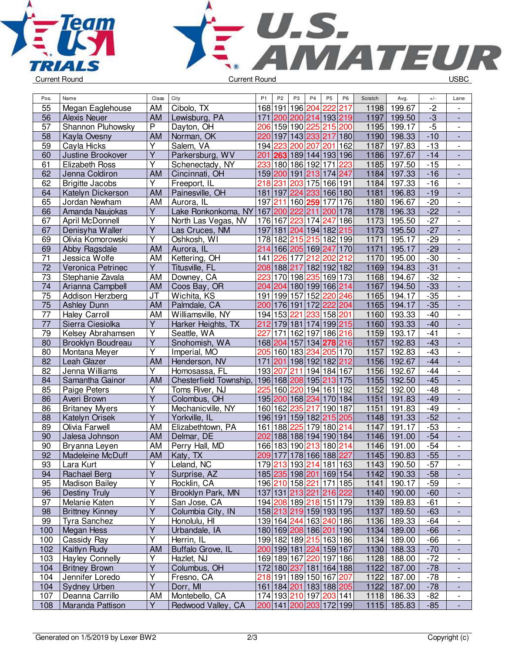



| Pos.            | Name                   | Class                   | City                          | P <sub>1</sub> | P <sub>2</sub>                         | P <sub>3</sub> | P <sub>4</sub>  | P <sub>5</sub> | P <sub>6</sub> | Scratch      | Avg.          | $+/-$ | Lane                     |
|-----------------|------------------------|-------------------------|-------------------------------|----------------|----------------------------------------|----------------|-----------------|----------------|----------------|--------------|---------------|-------|--------------------------|
| 55              | Megan Eaglehouse       | AM                      | Cibolo, TX                    |                | 168 191                                | 196            | 204             | 222            | 217            | 1198         | 199.67        | $-2$  |                          |
| 56              | <b>Alexis Neuer</b>    | <b>AM</b>               | Lewisburg, PA                 |                | 171 200 200 214                        |                |                 | 193 219        |                | 1197         | 199.50        | $-3$  | $\overline{\phantom{a}}$ |
| 57              | Shannon Pluhowsky      | $\overline{P}$          | Dayton, OH                    |                | 206 159                                |                | 190 225         | 215 200        |                | 1195         | 199.17        | $-5$  | $\overline{\phantom{a}}$ |
| 58              | Kayla Ovesny           | <b>AM</b>               | Norman, OK                    |                | 220 197                                |                | 143 233 217 180 |                |                | 1190         | 198.33        | $-10$ | $\blacksquare$           |
| 59              | Cayla Hicks            | Y                       | Salem, VA                     |                | 194 223                                | 200            | 207             | 201            | 162            | 1187         | 197.83        | $-13$ | $\overline{\phantom{a}}$ |
| 60              | Justine Brookover      | $\overline{Y}$          | Parkersburg, WV               | 201            | 263 189 144 193 196                    |                |                 |                |                | 1186         | 197.67        | $-14$ | L,                       |
| 61              | Elizabeth Ross         | Ÿ                       | Schenectady, NY               | 233            |                                        |                | 180 186 192     | 171            | 223            | 1185         | 197.50        | $-15$ | $\overline{\phantom{a}}$ |
| 62              | Jenna Coldiron         | <b>AM</b>               | Cincinnati, OH                |                | 159 200                                |                | 191 213         | 174 247        |                | 1184         | 197.33        | $-16$ | $\overline{a}$           |
| 62              | <b>Brigitte Jacobs</b> | Υ                       | Freeport, IL                  | 218            | 231                                    |                | 203 175 166 191 |                |                | 1184         | 197.33        | $-16$ |                          |
| 64              | Katelyn Dickerson      | <b>AM</b>               | Painesville, OH               |                | 181 197                                |                | 224 233         | 166 180        |                | 1181         | 196.83        | $-19$ |                          |
| 65              | Jordan Newham          | AM                      | Aurora, IL                    | 197            | 211                                    |                | 160 259         | 177            | 176            | 1180         | 196.67        | $-20$ | $\overline{\phantom{a}}$ |
| 66              | Amanda Naujokas        | Y                       | Lake Ronkonkoma, NY           |                | 167 200                                | 222            | 211             | 200 178        |                | 1178         | 196.33        | $-22$ | $\frac{1}{2}$            |
| 67              | April McDonnell        | $\overline{\mathsf{Y}}$ | North Las Vegas, NV           |                | 176 167                                | 223            | 174             | 247            | 186            | 1173         | 195.50        | $-27$ | $\overline{\phantom{a}}$ |
| 67              | Denisyha Waller        | $\overline{Y}$          | Las Cruces, NM                |                | 197 181 204 194 182 215                |                |                 |                |                | 1173         | 195.50        | $-27$ | $\Box$                   |
| 69              | Olivia Komorowski      | $\overline{\mathsf{Y}}$ | Oshkosh, WI                   |                | 178 182                                |                | 215 215 182 199 |                |                | 1171         | 195.17        | $-29$ | $\blacksquare$           |
| 69              | Abby Ragsdale          | <b>AM</b>               | Aurora, IL                    |                | 214 166 205 169 247 170                |                |                 |                |                | 1171         | 195.17        | $-29$ | L,                       |
| 71              | Jessica Wolfe          | AM                      | Kettering, OH                 | 141            | 226                                    | 177            | 212             | 202            | 212            | 1170         | 195.00        | $-30$ | $\overline{\phantom{a}}$ |
| 72              | Veronica Petrinec      | Υ                       | Titusville, FL                |                | 208 188 217                            |                |                 | 182 192 182    |                | 1169         | 194.83        | $-31$ |                          |
| 73              | Stephanie Zavala       | AM                      | Downey, CA                    |                | 223 170 198 235 169 173                |                |                 |                |                | 1168         | 194.67        | $-32$ |                          |
| $\overline{74}$ | Arianna Campbell       | <b>AM</b>               | Coos Bay, OR                  |                | 204 204 180 199 166 214                |                |                 |                |                | 1167         | 194.50        | $-33$ |                          |
| $\overline{75}$ | Addison Herzberg       | <b>JT</b>               | Wichita, KS                   |                | 191 199 157 152                        |                |                 | 220 246        |                | 1165         | 194.17        | $-35$ | $\overline{\phantom{a}}$ |
| 75              | <b>Ashley Dunn</b>     | <b>AM</b>               | Palmdale, CA                  |                | 200 176 191                            |                | 172             | 222 204        |                | 1165         | 194.17        | $-35$ | $\blacksquare$           |
| 77              | <b>Haley Carroll</b>   | AM                      | Williamsville, NY             |                | 194 153                                | 221            | 233             | 158 201        |                | 1160         | 193.33        | $-40$ | $\overline{\phantom{a}}$ |
| $\overline{77}$ | Sierra Ciesiolka       | $\overline{Y}$          | Harker Heights, TX            |                | 212 179 181 174 199 215                |                |                 |                |                | 1160         | 193.33        | $-40$ | $\Box$                   |
| 79              | Kelsey Abrahamsen      | $\overline{\mathsf{Y}}$ | Seattle, WA                   | 227            | 171                                    |                | 162 197         | 186 216        |                | 1159         | 193.17        | $-41$ | $\overline{\phantom{a}}$ |
|                 |                        | $\overline{Y}$          |                               |                |                                        |                |                 |                |                |              | 192.83        | $-43$ |                          |
| 80              | Brooklyn Boudreau      | $\overline{\mathsf{Y}}$ | Snohomish, WA                 |                | 168 204 157 134 278 216<br>205 160 183 |                | 234             |                |                | 1157<br>1157 | 192.83        | $-43$ | $\frac{1}{2}$            |
| 80<br>82        | Montana Meyer          | <b>AM</b>               | Imperial, MO<br>Henderson, NV |                |                                        |                |                 |                | 205 170        | 1156         |               | $-44$ | $\overline{\phantom{a}}$ |
|                 | Leah Glazer            | Υ                       |                               | 171            | 201                                    |                | 198 192 182 212 |                |                |              | 192.67        | $-44$ |                          |
| 82              | Jenna Williams         |                         | Homosassa, FL                 |                | 193 207                                | 211            | 194             | 184 167        |                | 1156         | 192.67        | $-45$ |                          |
| 84              | Samantha Gainor        | <b>AM</b>               | Chesterfield Township,        |                | 196 168 208 195 213 175                |                |                 |                |                | 1155         | 192.50        |       |                          |
| 85              | Paige Peters           | Ÿ<br>$\overline{Y}$     | Toms River, NJ                | 225            | 160 220                                |                |                 | 194 161 192    |                | 1152         | 192.00        | $-48$ | $\overline{\phantom{a}}$ |
| 86              | Averi Brown            |                         | Colombus, OH                  |                | 195 200                                |                | 168 234         | 170 184        |                | 1151         | 191.83        | $-49$ | $\blacksquare$           |
| 86              | <b>Britaney Myers</b>  | Υ<br>$\overline{Y}$     | Mechanicville, NY             |                | 160 162                                | 235            | 217             | 190 187        |                | 1151         | 191.83        | $-49$ | $\overline{\phantom{a}}$ |
| 88              | Katelyn Orisek         |                         | Yorkville, IL                 |                | 196 191                                |                | 159 182 215 205 |                |                | 1148         | 191.33        | $-52$ |                          |
| 89              | Olivia Farwell         | AM                      | Elizabethtown, PA             |                | 161 188                                | 225            |                 | 179 180 214    |                | 1147         | 191.17        | $-53$ | $\overline{\phantom{a}}$ |
| 90              | Jalesa Johnson         | <b>AM</b>               | Delmar, DE                    | 202            | 188 188 194 190 184                    |                |                 |                |                | 1146         | 191.00        | $-54$ | $\overline{\phantom{a}}$ |
| 90              | Bryanna Leyen          | AM                      | Perry Hall, MD                |                | 166 183                                |                | 190 213         | 180 214        |                | 1146         | 191.00        | $-54$ | $\overline{\phantom{a}}$ |
| 92              | Madeleine McDuff       | AM                      | Katy, TX                      |                | 209 177                                |                | 178 166 188 227 |                |                | 1145         | 190.83        | $-55$ | $\blacksquare$           |
| 93              | Lara Kurt              | Y                       | Leland, NC                    |                | 179 213 193 214 181 163                |                |                 |                |                |              | 1143   190.50 | -57   |                          |
| 94              | <b>Rachael Berg</b>    | $\overline{Y}$          | Surprise, AZ                  |                | 185 235 198 201 169 154                |                |                 |                |                |              | 1142 190.33   | $-58$ |                          |
| 95              | <b>Madison Bailey</b>  | Y                       | Rocklin, CA                   |                | 196 210 158 221 171 185                |                |                 |                |                |              | 1141 190.17   | $-59$ | $\overline{\phantom{a}}$ |
| 96              | Destiny Truly          | Ÿ                       | Brooklyn Park, MN             |                | 137 131 213 221 216 222                |                |                 |                |                |              | 1140 190.00   | $-60$ | $\overline{\phantom{a}}$ |
| 97              | Melanie Katen          | Υ                       | San Jose, CA                  |                | 194 208 189 218 151 179                |                |                 |                |                |              | 1139 189.83   | $-61$ |                          |
| 98              | <b>Brittney Kinney</b> | Y                       | Columbia City, IN             |                | 158 213 219 159 193 195                |                |                 |                |                |              | 1137 189.50   | $-63$ |                          |
| 99              | Tyra Sanchez           | Υ                       | Honolulu, HI                  |                | 139 164 244 163 240 186                |                |                 |                |                |              | 1136 189.33   | $-64$ | $\overline{\phantom{a}}$ |
| 100             | Megan Hess             | $\overline{Y}$          | Urbandale, IA                 |                | 180 169 208 186 201 190                |                |                 |                |                |              | 1134 189.00   | $-66$ | $\blacksquare$           |
| 100             | Cassidy Ray            | Υ                       | Herrin, IL                    |                | 199 182 189 215 163 186                |                |                 |                |                |              | 1134 189.00   | $-66$ | $\overline{\phantom{a}}$ |
| 102             | Kaitlyn Rudy           | <b>AM</b>               | Buffalo Grove, IL             |                | 200 199 181 224 159 167                |                |                 |                |                |              | 1130 188.33   | $-70$ | $\overline{\phantom{a}}$ |
| 103             | <b>Hayley Connelly</b> | Υ                       | Hazlet, NJ                    |                | 169 189 167 220 197 186                |                |                 |                |                |              | 1128 188.00   | $-72$ | $\overline{\phantom{a}}$ |
| 104             | <b>Britney Brown</b>   | Y                       | Columbus, OH                  |                | 172 180 237 181 164 188                |                |                 |                |                |              | 1122 187.00   | $-78$ |                          |
| 104             | Jennifer Loredo        | Υ                       | Fresno, CA                    |                | 218 191 189 150 167 207                |                |                 |                |                |              | 1122 187.00   | $-78$ | $\overline{\phantom{a}}$ |
| 104             | Sydney Urben           | Y                       | Dorr, MI                      |                | 161 184 201 183 188 205                |                |                 |                |                |              | 1122 187.00   | $-78$ | $\overline{\phantom{a}}$ |
| 107             | Deanna Carrillo        | AM                      | Montebello, CA                |                | 174 193 210 197 203 141                |                |                 |                |                |              | 1118 186.33   | $-82$ | $\overline{\phantom{a}}$ |
| 108             | Maranda Pattison       | $\overline{Y}$          | Redwood Valley, CA            |                | 200 141 200 203 172 199                |                |                 |                |                |              | 1115 185.83   | $-85$ | $\Box$                   |